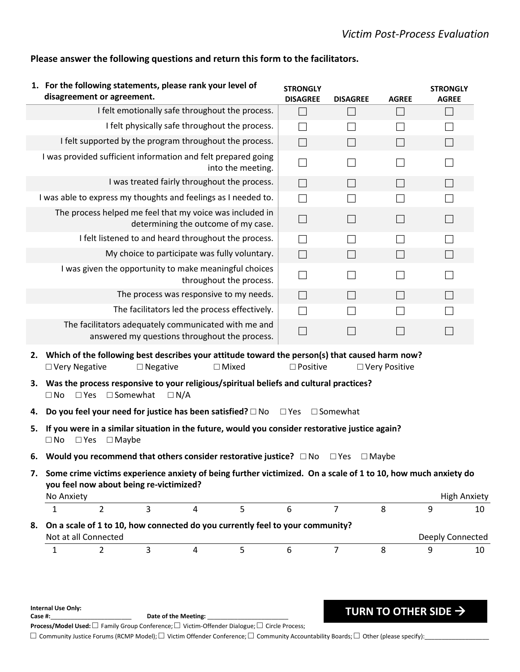**TURN TO OTHER SIDE** →

|                | disagreement or agreement.                            |                    | 1. For the following statements, please rank your level of                                                                                                                                                  | <b>STRONGLY</b><br><b>DISAGREE</b> | <b>DISAGREE</b> | <b>AGREE</b>    | <b>STRONGLY</b><br><b>AGREE</b> |    |
|----------------|-------------------------------------------------------|--------------------|-------------------------------------------------------------------------------------------------------------------------------------------------------------------------------------------------------------|------------------------------------|-----------------|-----------------|---------------------------------|----|
|                |                                                       |                    | I felt emotionally safe throughout the process.                                                                                                                                                             | $\Box$                             | Ш               | $\Box$          | $\Box$                          |    |
|                |                                                       |                    | I felt physically safe throughout the process.                                                                                                                                                              | $\Box$                             |                 | $\mathsf{L}$    |                                 |    |
|                |                                                       |                    | I felt supported by the program throughout the process.                                                                                                                                                     | $\Box$                             | $\Box$          | $\Box$          |                                 |    |
|                |                                                       |                    | I was provided sufficient information and felt prepared going<br>into the meeting.                                                                                                                          | $\Box$                             | $\perp$         | $\perp$         |                                 |    |
|                |                                                       |                    | I was treated fairly throughout the process.                                                                                                                                                                | $\Box$                             | $\Box$          | $\Box$          | $\Box$                          |    |
|                |                                                       |                    | I was able to express my thoughts and feelings as I needed to.                                                                                                                                              | $\Box$                             |                 | $\Box$          |                                 |    |
|                |                                                       |                    | The process helped me feel that my voice was included in<br>determining the outcome of my case.                                                                                                             | $\Box$                             | $\Box$          | $\Box$          | $\Box$                          |    |
|                |                                                       |                    | I felt listened to and heard throughout the process.                                                                                                                                                        | $\Box$                             |                 | $\perp$         |                                 |    |
|                |                                                       |                    | My choice to participate was fully voluntary.                                                                                                                                                               | $\Box$                             | $\Box$          | $\Box$          |                                 |    |
|                |                                                       |                    | I was given the opportunity to make meaningful choices<br>throughout the process.                                                                                                                           | $\Box$                             | $\Box$          | $\Box$          |                                 |    |
|                |                                                       |                    | The process was responsive to my needs.                                                                                                                                                                     | $\Box$                             | $\Box$          | $\Box$          | $\Box$                          |    |
|                |                                                       |                    | The facilitators led the process effectively.                                                                                                                                                               | $\Box$                             |                 | $\Box$          |                                 |    |
|                |                                                       |                    | The facilitators adequately communicated with me and<br>answered my questions throughout the process.                                                                                                       | $\Box$                             | $\Box$          | $\Box$          | $\Box$                          |    |
| 2.             | □ Very Negative                                       | $\square$ Negative | Which of the following best describes your attitude toward the person(s) that caused harm now?<br>$\Box$ Mixed<br>3. Was the process responsive to your religious/spiritual beliefs and cultural practices? | $\square$ Positive                 |                 | □ Very Positive |                                 |    |
|                |                                                       |                    |                                                                                                                                                                                                             |                                    |                 |                 |                                 |    |
|                | $\Box$ Somewhat<br>$\Box$ No<br>$\square$ Yes         | $\Box N/A$         | Do you feel your need for justice has been satisfied? $\square$ No                                                                                                                                          | $\Box$ Yes $\Box$ Somewhat         |                 |                 |                                 |    |
|                | $\Box$ No<br>$\square$ Yes<br>$\Box$ Maybe            |                    | If you were in a similar situation in the future, would you consider restorative justice again?                                                                                                             |                                    |                 |                 |                                 |    |
| 4.<br>5.<br>6. |                                                       |                    | Would you recommend that others consider restorative justice? $\Box$ No                                                                                                                                     |                                    | $\square$ Yes   | $\Box$ Maybe    |                                 |    |
| 7.             | you feel now about being re-victimized?<br>No Anxiety |                    | Some crime victims experience anxiety of being further victimized. On a scale of 1 to 10, how much anxiety do                                                                                               |                                    |                 |                 |                                 |    |
|                | $\overline{2}$<br>$\mathbf{1}$                        | $\overline{3}$     | 5 <sup>1</sup><br>$\overline{4}$                                                                                                                                                                            | 6                                  | $\overline{7}$  | 8               | <b>High Anxiety</b><br>9        |    |
| 8.             | Not at all Connected                                  |                    | On a scale of 1 to 10, how connected do you currently feel to your community?                                                                                                                               |                                    |                 |                 | Deeply Connected                | 10 |

## **Please answer the following questions and return this form to the facilitators.**

**Internal Use Only:** 

Date of the Meeting: \_ **Process/Model Used:** □ Family Group Conference; □ Victim-Offender Dialogue; □ Circle Process;

 $\Box$  Community Justice Forums (RCMP Model);  $\Box$  Victim Offender Conference;  $\Box$  Community Accountability Boards;  $\Box$  Other (please specify):